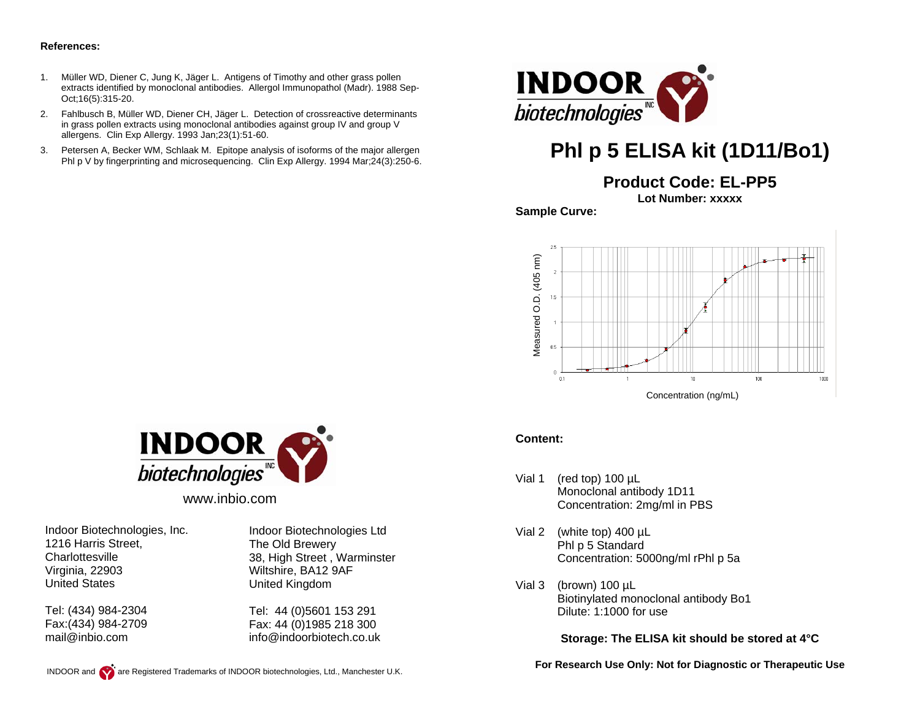#### **References:**

- 1. Müller WD, Diener C, Jung K, Jäger L. Antigens of Timothy and other grass pollen extracts identified by monoclonal antibodies. Allergol Immunopathol (Madr). 1988 Sep-Oct;16(5):315-20.
- 2. Fahlbusch B, Müller WD, Diener CH, Jäger L. Detection of crossreactive determinants in grass pollen extracts using monoclonal antibodies against group IV and group V allergens. Clin Exp Allergy. 1993 Jan;23(1):51-60.
- 3. Petersen A, Becker WM, Schlaak M. Epitope analysis of isoforms of the major allergen Phl p V by fingerprinting and microsequencing. Clin Exp Allergy. 1994 Mar;24(3):250-6.



# **Phl p 5 ELISA kit (1D11/Bo1)**

**Product Code: EL-PP5**

**Lot Number: xxxxx** 

**Sample Curve:** 



#### **Content:**

- Vial 1 (red top) 100 µL Monoclonal antibody 1D11 Concentration: 2mg/ml in PBS
- Vial 2 (white top) 400 µL Phl p 5 Standard Concentration: 5000ng/ml rPhl p 5a
- Vial 3 (brown) 100 µL Biotinylated monoclonal antibody Bo1 Dilute: 1:1000 for use

**Storage: The ELISA kit should be stored at 4°C** 

**For Research Use Only: Not for Diagnostic or Therapeutic Use** 



www.inbio.com

Indoor Biotechnologies, Inc. 1216 Harris Street, **Charlottesville** Virginia, 22903 United States

Tel: (434) 984-2304 Fax:(434) 984-2709 mail@inbio.com

Indoor Biotechnologies Ltd The Old Brewery 38, High Street , Warminster Wiltshire, BA12 9AF United Kingdom

Tel: 44 (0)5601 153 291 Fax: 44 (0)1985 218 300 info@indoorbiotech.co.uk